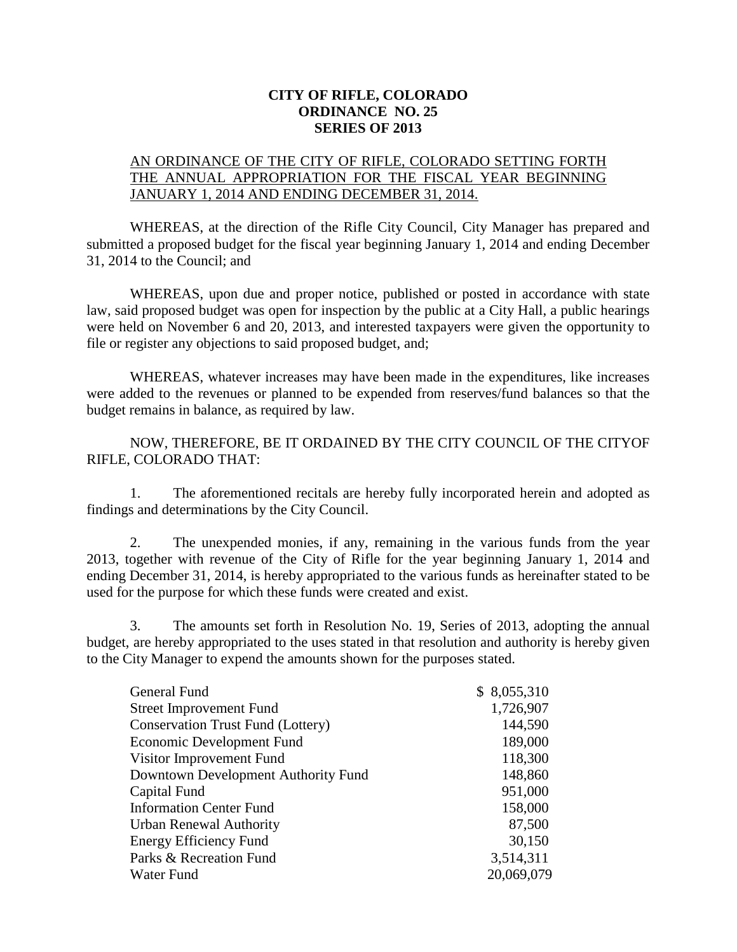## **CITY OF RIFLE, COLORADO ORDINANCE NO. 25 SERIES OF 2013**

## AN ORDINANCE OF THE CITY OF RIFLE, COLORADO SETTING FORTH THE ANNUAL APPROPRIATION FOR THE FISCAL YEAR BEGINNING JANUARY 1, 2014 AND ENDING DECEMBER 31, 2014.

WHEREAS, at the direction of the Rifle City Council, City Manager has prepared and submitted a proposed budget for the fiscal year beginning January 1, 2014 and ending December 31, 2014 to the Council; and

WHEREAS, upon due and proper notice, published or posted in accordance with state law, said proposed budget was open for inspection by the public at a City Hall, a public hearings were held on November 6 and 20, 2013, and interested taxpayers were given the opportunity to file or register any objections to said proposed budget, and;

WHEREAS, whatever increases may have been made in the expenditures, like increases were added to the revenues or planned to be expended from reserves/fund balances so that the budget remains in balance, as required by law.

NOW, THEREFORE, BE IT ORDAINED BY THE CITY COUNCIL OF THE CITYOF RIFLE, COLORADO THAT:

1. The aforementioned recitals are hereby fully incorporated herein and adopted as findings and determinations by the City Council.

2. The unexpended monies, if any, remaining in the various funds from the year 2013, together with revenue of the City of Rifle for the year beginning January 1, 2014 and ending December 31, 2014, is hereby appropriated to the various funds as hereinafter stated to be used for the purpose for which these funds were created and exist.

3. The amounts set forth in Resolution No. 19, Series of 2013, adopting the annual budget, are hereby appropriated to the uses stated in that resolution and authority is hereby given to the City Manager to expend the amounts shown for the purposes stated.

| General Fund                             | \$8,055,310 |  |
|------------------------------------------|-------------|--|
| <b>Street Improvement Fund</b>           | 1,726,907   |  |
| <b>Conservation Trust Fund (Lottery)</b> | 144,590     |  |
| Economic Development Fund                | 189,000     |  |
| Visitor Improvement Fund                 | 118,300     |  |
| Downtown Development Authority Fund      | 148,860     |  |
| Capital Fund                             | 951,000     |  |
| <b>Information Center Fund</b>           | 158,000     |  |
| <b>Urban Renewal Authority</b>           | 87,500      |  |
| Energy Efficiency Fund                   | 30,150      |  |
| Parks & Recreation Fund                  | 3,514,311   |  |
| Water Fund                               | 20,069,079  |  |
|                                          |             |  |